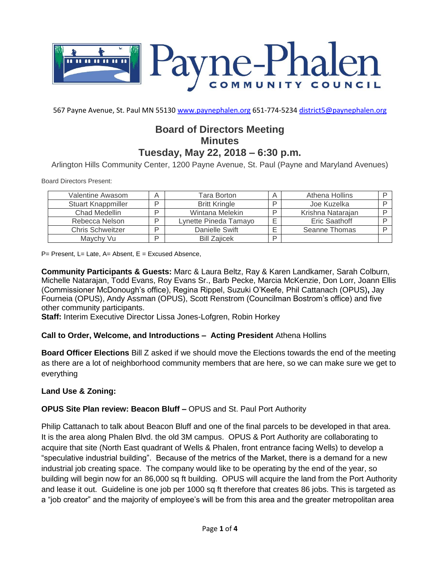

567 Payne Avenue, St. Paul MN 55130 [www.paynephalen.org](http://www.paynephalen.org/) 651-774-5234 [district5@paynephalen.org](mailto:district5@paynephalen.org)

# **Board of Directors Meeting Minutes Tuesday, May 22, 2018 – 6:30 p.m.**

Arlington Hills Community Center, 1200 Payne Avenue, St. Paul (Payne and Maryland Avenues)

Board Directors Present:

| Valentine Awasom          | А | Tara Borton           | А | Athena Hollins    |  |
|---------------------------|---|-----------------------|---|-------------------|--|
| <b>Stuart Knappmiller</b> | ח | <b>Britt Kringle</b>  |   | Joe Kuzelka       |  |
| Chad Medellin             | ח | Wintana Melekin       |   | Krishna Natarajan |  |
| Rebecca Nelson            | D | Lynette Pineda Tamayo |   | Eric Saathoff     |  |
| <b>Chris Schweitzer</b>   | D | Danielle Swift        |   | Seanne Thomas     |  |
| Maychy Vu                 | ח | <b>Bill Zajicek</b>   | ח |                   |  |

 $P=$  Present, L= Late, A= Absent, E = Excused Absence,

**Community Participants & Guests:** Marc & Laura Beltz, Ray & Karen Landkamer, Sarah Colburn, Michelle Natarajan, Todd Evans, Roy Evans Sr., Barb Pecke, Marcia McKenzie, Don Lorr, Joann Ellis (Commissioner McDonough's office), Regina Rippel, Suzuki O'Keefe, Phil Cattanach (OPUS)**,** Jay Fourneia (OPUS), Andy Assman (OPUS), Scott Renstrom (Councilman Bostrom's office) and five other community participants.

**Staff:** Interim Executive Director Lissa Jones-Lofgren, Robin Horkey

### **Call to Order, Welcome, and Introductions – Acting President** Athena Hollins

**Board Officer Elections** Bill Z asked if we should move the Elections towards the end of the meeting as there are a lot of neighborhood community members that are here, so we can make sure we get to everything

### **Land Use & Zoning:**

### **OPUS Site Plan review: Beacon Bluff –** OPUS and St. Paul Port Authority

Philip Cattanach to talk about Beacon Bluff and one of the final parcels to be developed in that area. It is the area along Phalen Blvd. the old 3M campus. OPUS & Port Authority are collaborating to acquire that site (North East quadrant of Wells & Phalen, front entrance facing Wells) to develop a "speculative industrial building". Because of the metrics of the Market, there is a demand for a new industrial job creating space. The company would like to be operating by the end of the year, so building will begin now for an 86,000 sq ft building. OPUS will acquire the land from the Port Authority and lease it out. Guideline is one job per 1000 sq ft therefore that creates 86 jobs. This is targeted as a "job creator" and the majority of employee's will be from this area and the greater metropolitan area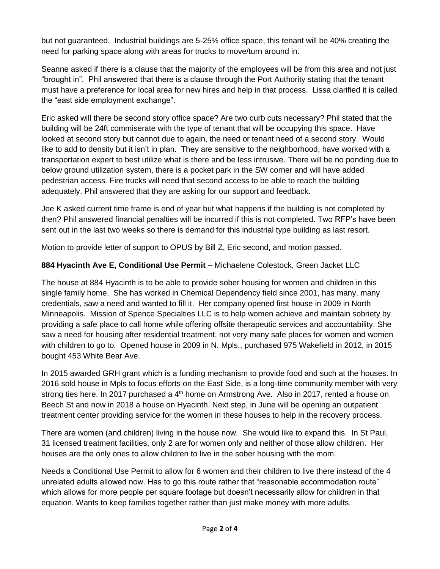but not guaranteed. Industrial buildings are 5-25% office space, this tenant will be 40% creating the need for parking space along with areas for trucks to move/turn around in.

Seanne asked if there is a clause that the majority of the employees will be from this area and not just "brought in". Phil answered that there is a clause through the Port Authority stating that the tenant must have a preference for local area for new hires and help in that process. Lissa clarified it is called the "east side employment exchange".

Eric asked will there be second story office space? Are two curb cuts necessary? Phil stated that the building will be 24ft commiserate with the type of tenant that will be occupying this space. Have looked at second story but cannot due to again, the need or tenant need of a second story. Would like to add to density but it isn't in plan. They are sensitive to the neighborhood, have worked with a transportation expert to best utilize what is there and be less intrusive. There will be no ponding due to below ground utilization system, there is a pocket park in the SW corner and will have added pedestrian access. Fire trucks will need that second access to be able to reach the building adequately. Phil answered that they are asking for our support and feedback.

Joe K asked current time frame is end of year but what happens if the building is not completed by then? Phil answered financial penalties will be incurred if this is not completed. Two RFP's have been sent out in the last two weeks so there is demand for this industrial type building as last resort.

Motion to provide letter of support to OPUS by Bill Z, Eric second, and motion passed.

### **884 Hyacinth Ave E, Conditional Use Permit –** Michaelene Colestock, Green Jacket LLC

The house at 884 Hyacinth is to be able to provide sober housing for women and children in this single family home. She has worked in Chemical Dependency field since 2001, has many, many credentials, saw a need and wanted to fill it. Her company opened first house in 2009 in North Minneapolis. Mission of Spence Specialties LLC is to help women achieve and maintain sobriety by providing a safe place to call home while offering offsite therapeutic services and accountability. She saw a need for housing after residential treatment, not very many safe places for women and women with children to go to. Opened house in 2009 in N. Mpls., purchased 975 Wakefield in 2012, in 2015 bought 453 White Bear Ave.

In 2015 awarded GRH grant which is a funding mechanism to provide food and such at the houses. In 2016 sold house in Mpls to focus efforts on the East Side, is a long-time community member with very strong ties here. In 2017 purchased a  $4<sup>th</sup>$  home on Armstrong Ave. Also in 2017, rented a house on Beech St and now in 2018 a house on Hyacinth. Next step, in June will be opening an outpatient treatment center providing service for the women in these houses to help in the recovery process.

There are women (and children) living in the house now. She would like to expand this. In St Paul, 31 licensed treatment facilities, only 2 are for women only and neither of those allow children. Her houses are the only ones to allow children to live in the sober housing with the mom.

Needs a Conditional Use Permit to allow for 6 women and their children to live there instead of the 4 unrelated adults allowed now. Has to go this route rather that "reasonable accommodation route" which allows for more people per square footage but doesn't necessarily allow for children in that equation. Wants to keep families together rather than just make money with more adults.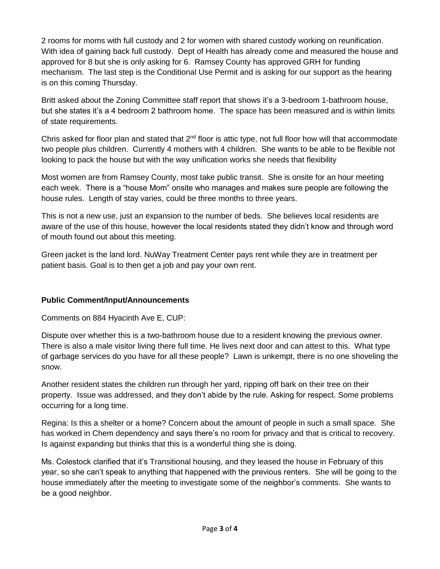2 rooms for moms with full custody and 2 for women with shared custody working on reunification. With idea of gaining back full custody. Dept of Health has already come and measured the house and approved for 8 but she is only asking for 6. Ramsey County has approved GRH for funding mechanism. The last step is the Conditional Use Permit and is asking for our support as the hearing is on this coming Thursday.

Britt asked about the Zoning Committee staff report that shows it's a 3-bedroom 1-bathroom house, but she states it's a 4 bedroom 2 bathroom home. The space has been measured and is within limits of state requirements.

Chris asked for floor plan and stated that 2<sup>nd</sup> floor is attic type, not full floor how will that accommodate two people plus children. Currently 4 mothers with 4 children. She wants to be able to be flexible not looking to pack the house but with the way unification works she needs that flexibility

Most women are from Ramsey County, most take public transit. She is onsite for an hour meeting each week. There is a "house Mom" onsite who manages and makes sure people are following the house rules. Length of stay varies, could be three months to three years.

This is not a new use, just an expansion to the number of beds. She believes local residents are aware of the use of this house, however the local residents stated they didn't know and through word of mouth found out about this meeting.

Green jacket is the land lord. NuWay Treatment Center pays rent while they are in treatment per patient basis. Goal is to then get a job and pay your own rent.

## **Public Comment/Input/Announcements**

Comments on 884 Hyacinth Ave E, CUP:

Dispute over whether this is a two-bathroom house due to a resident knowing the previous owner. There is also a male visitor living there full time. He lives next door and can attest to this. What type of garbage services do you have for all these people? Lawn is unkempt, there is no one shoveling the snow.

Another resident states the children run through her yard, ripping off bark on their tree on their property. Issue was addressed, and they don't abide by the rule. Asking for respect. Some problems occurring for a long time.

Regina: Is this a shelter or a home? Concern about the amount of people in such a small space. She has worked in Chem dependency and says there's no room for privacy and that is critical to recovery. Is against expanding but thinks that this is a wonderful thing she is doing.

Ms. Colestock clarified that it's Transitional housing, and they leased the house in February of this year, so she can't speak to anything that happened with the previous renters. She will be going to the house immediately after the meeting to investigate some of the neighbor's comments. She wants to be a good neighbor.